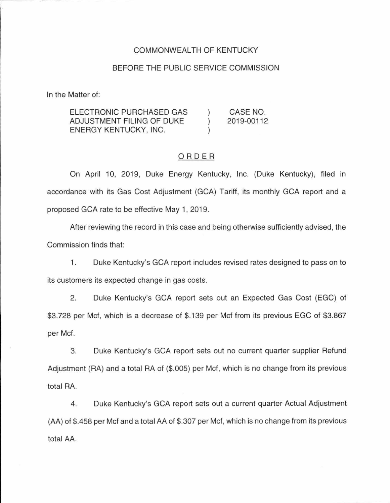#### COMMONWEALTH OF KENTUCKY

#### BEFORE THE PUBLIC SERVICE COMMISSION

In the Matter of:

ELECTRONIC PURCHASED GAS CASE NO.  $\mathcal{E}$ ADJUSTMENT FILING OF DUKE  $\lambda$ 2019-00112 ENERGY KENTUCKY, INC.

### ORDER

On April 10, 2019, Duke Energy Kentucky, Inc. (Duke Kentucky), filed in accordance with its Gas Cost Adjustment (GCA) Tariff, its monthly GCA report and a proposed GCA rate to be effective May 1, 2019.

After reviewing the record in this case and being otherwise sufficiently advised, the Commission finds that:

1. Duke Kentucky's GCA report includes revised rates designed to pass on to its customers its expected change in gas costs.

2. Duke Kentucky's GCA report sets out an Expected Gas Cost (EGC) of \$3.728 per Met, which is a decrease of \$.139 per Met from its previous EGC of \$3.867 per Met.

3. Duke Kentucky's GCA report sets out no current quarter supplier Refund Adjustment (RA) and a total RA of (\$.005) per Met, which is no change from its previous total RA.

4. Duke Kentucky's GCA report sets out a current quarter Actual Adjustment (AA) of \$.458 per Met and a total AA of \$.307 per Met, which is no change from its previous total AA.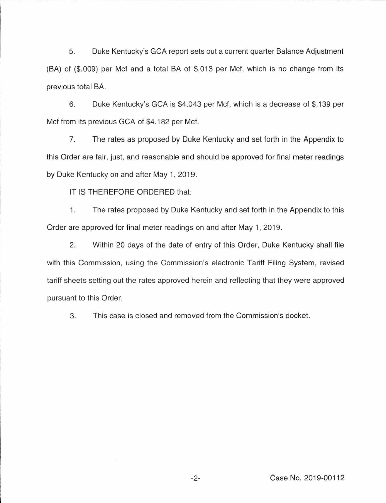5. Duke Kentucky's GCA report sets out a current quarter Balance Adjustment (BA) of (\$.009) per Met and a total BA of \$.013 per Met, which is no change from its previous total BA.

6. Duke Kentucky's GCA is \$4.043 per Met, which is a decrease of \$.139 per Met from its previous GCA of \$4.182 per Met.

7. The rates as proposed by Duke Kentucky and set forth in the Appendix to this Order are fair, just, and reasonable and should be approved for final meter readings by Duke Kentucky on and after May 1, 2019.

IT IS THEREFORE ORDERED that:

1. The rates proposed by Duke Kentucky and set forth in the Appendix to this Order are approved for final meter readings on and after May 1, 2019.

2. Within 20 days of the date of entry of this Order, Duke Kentucky shall file with this Commission, using the Commission's electronic Tariff Filing System, revised tariff sheets setting out the rates approved herein and reflecting that they were approved pursuant to this Order.

3. This case is closed and removed from the Commission's docket.

-2- Case No. 2019-001 12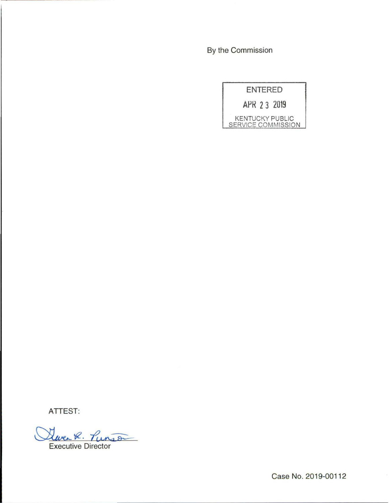By the Commission

|                    | <b>ENTERED</b> |                        |
|--------------------|----------------|------------------------|
| APR 23 2019        |                |                        |
| SERVICE COMMISSION |                | <b>KENTUCKY PUBLIC</b> |

ATTEST:

Sweet. Punson **Executive Director** 

Case No. 2019-00112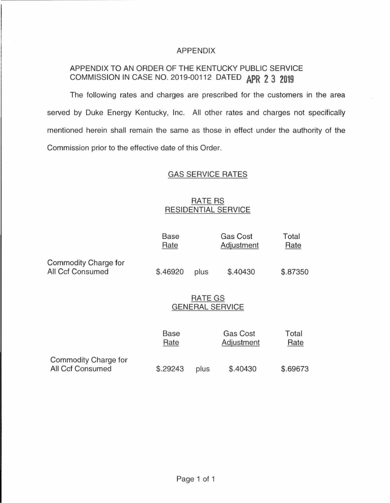## APPENDIX

# APPENDIX TO AN ORDER OF THE KENTUCKY PUBLIC SERVICE COMMISSION IN CASE NO. 2019-00112 DATED **APR 2 3 2019**

The following rates and charges are prescribed for the customers in the area served by Duke Energy Kentucky, Inc. All other rates and charges not specifically mentioned herein shall remain the same as those in effect under the authority of the Commission prior to the effective date of this Order.

## GAS SERVICE RATES

## RATE RS RESIDENTIAL SERVICE

|                                          | <b>Base</b><br>Rate |                                   | <b>Gas Cost</b><br>Adjustment | Total<br>Rate |  |  |  |
|------------------------------------------|---------------------|-----------------------------------|-------------------------------|---------------|--|--|--|
| Commodity Charge for<br>All Ccf Consumed | \$.46920            | plus                              | \$.40430                      | \$.87350      |  |  |  |
|                                          |                     | RATE GS<br><b>GENERAL SERVICE</b> |                               |               |  |  |  |
|                                          | <b>Base</b><br>Rate |                                   | <b>Gas Cost</b><br>Adjustment | Total<br>Rate |  |  |  |
| Commodity Charge for<br>All Ccf Consumed | \$.29243            | plus                              | \$.40430                      | \$.69673      |  |  |  |